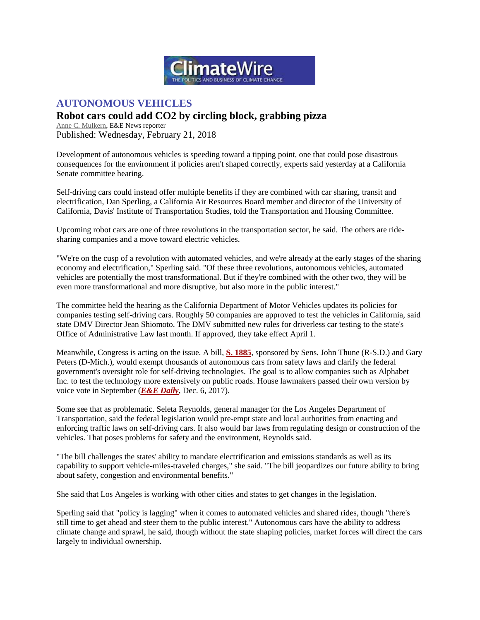

## **AUTONOMOUS VEHICLES**

## **Robot cars could add CO2 by circling block, grabbing pizza**

[Anne C. Mulkern,](https://www.eenews.net/staff/Anne_C_Mulkern) E&E News reporter Published: Wednesday, February 21, 2018

Development of autonomous vehicles is speeding toward a tipping point, one that could pose disastrous consequences for the environment if policies aren't shaped correctly, experts said yesterday at a California Senate committee hearing.

Self-driving cars could instead offer multiple benefits if they are combined with car sharing, transit and electrification, Dan Sperling, a California Air Resources Board member and director of the University of California, Davis' Institute of Transportation Studies, told the Transportation and Housing Committee.

Upcoming robot cars are one of three revolutions in the transportation sector, he said. The others are ridesharing companies and a move toward electric vehicles.

"We're on the cusp of a revolution with automated vehicles, and we're already at the early stages of the sharing economy and electrification," Sperling said. "Of these three revolutions, autonomous vehicles, automated vehicles are potentially the most transformational. But if they're combined with the other two, they will be even more transformational and more disruptive, but also more in the public interest."

The committee held the hearing as the California Department of Motor Vehicles updates its policies for companies testing self-driving cars. Roughly 50 companies are approved to test the vehicles in California, said state DMV Director Jean Shiomoto. The DMV submitted new rules for driverless car testing to the state's Office of Administrative Law last month. If approved, they take effect April 1.

Meanwhile, Congress is acting on the issue. A bill, **[S. 1885](https://www.congress.gov/115/bills/s1885/BILLS-115s1885rs.pdf)**, sponsored by Sens. John Thune (R-S.D.) and Gary Peters (D-Mich.), would exempt thousands of autonomous cars from safety laws and clarify the federal government's oversight role for self-driving technologies. The goal is to allow companies such as Alphabet Inc. to test the technology more extensively on public roads. House lawmakers passed their own version by voice vote in September (*E&E [Daily](https://www.eenews.net/eedaily/stories/1060068207/)*, Dec. 6, 2017).

Some see that as problematic. Seleta Reynolds, general manager for the Los Angeles Department of Transportation, said the federal legislation would pre-empt state and local authorities from enacting and enforcing traffic laws on self-driving cars. It also would bar laws from regulating design or construction of the vehicles. That poses problems for safety and the environment, Reynolds said.

"The bill challenges the states' ability to mandate electrification and emissions standards as well as its capability to support vehicle-miles-traveled charges," she said. "The bill jeopardizes our future ability to bring about safety, congestion and environmental benefits."

She said that Los Angeles is working with other cities and states to get changes in the legislation.

Sperling said that "policy is lagging" when it comes to automated vehicles and shared rides, though "there's still time to get ahead and steer them to the public interest." Autonomous cars have the ability to address climate change and sprawl, he said, though without the state shaping policies, market forces will direct the cars largely to individual ownership.